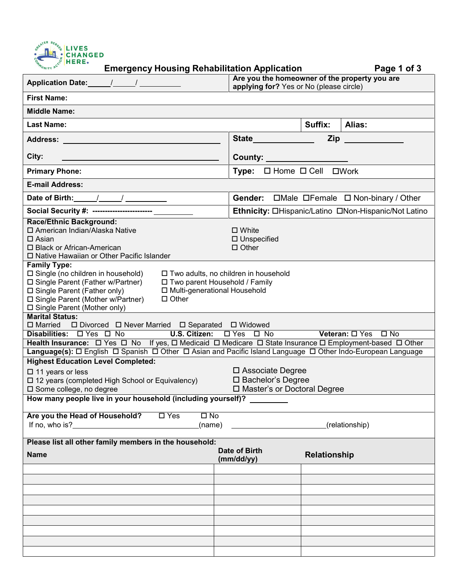

|                                                                                                                                                                                                                                                                                                                                                 | Are you the homeowner of the property you are<br>applying for? Yes or No (please circle) |                                           |                                                      |  |  |
|-------------------------------------------------------------------------------------------------------------------------------------------------------------------------------------------------------------------------------------------------------------------------------------------------------------------------------------------------|------------------------------------------------------------------------------------------|-------------------------------------------|------------------------------------------------------|--|--|
| <b>First Name:</b>                                                                                                                                                                                                                                                                                                                              |                                                                                          |                                           |                                                      |  |  |
| <b>Middle Name:</b>                                                                                                                                                                                                                                                                                                                             |                                                                                          |                                           |                                                      |  |  |
| <b>Last Name:</b>                                                                                                                                                                                                                                                                                                                               |                                                                                          | Suffix:                                   | <b>Alias:</b>                                        |  |  |
| Address: Andreas Address: Address: Address: Address: Address: Address: Address: Address: Address: Address: Address: Address: Address: Address: Address: Address: Address: Address: Address: Address: Address: Address: Address                                                                                                                  | State <b>State</b>                                                                       | Zip                                       |                                                      |  |  |
| City:                                                                                                                                                                                                                                                                                                                                           |                                                                                          | County: ____________________              |                                                      |  |  |
| <b>Primary Phone:</b>                                                                                                                                                                                                                                                                                                                           |                                                                                          | Type: $\Box$ Home $\Box$ Cell $\Box$ Work |                                                      |  |  |
| <b>E-mail Address:</b>                                                                                                                                                                                                                                                                                                                          |                                                                                          |                                           |                                                      |  |  |
|                                                                                                                                                                                                                                                                                                                                                 |                                                                                          |                                           |                                                      |  |  |
|                                                                                                                                                                                                                                                                                                                                                 |                                                                                          |                                           | Ethnicity: OHispanic/Latino ONon-Hispanic/Not Latino |  |  |
| <b>Race/Ethnic Background:</b><br>□ American Indian/Alaska Native<br>$\square$ White<br>$\Box$ Asian<br>□ Unspecified<br>□ Black or African-American<br>$\Box$ Other<br>□ Native Hawaiian or Other Pacific Islander                                                                                                                             |                                                                                          |                                           |                                                      |  |  |
| <b>Family Type:</b><br>$\square$ Single (no children in household)<br>□ Two adults, no children in household<br>□ Single Parent (Father w/Partner)<br>□ Two parent Household / Family<br>□ Single Parent (Father only)<br>□ Multi-generational Household<br>□ Single Parent (Mother w/Partner)<br>$\Box$ Other<br>□ Single Parent (Mother only) |                                                                                          |                                           |                                                      |  |  |
| <b>Marital Status:</b><br>□ Married □ Divorced □ Never Married □ Separated □ Widowed                                                                                                                                                                                                                                                            |                                                                                          |                                           |                                                      |  |  |
| Veteran: O Yes O No<br>Disabilities: $\Box$ Yes $\Box$ No <b>U.S. Citizen:</b> $\Box$ Yes $\Box$ No                                                                                                                                                                                                                                             |                                                                                          |                                           |                                                      |  |  |
| Health Insurance: $\Box$ Yes $\Box$ No If yes, $\Box$ Medicaid $\Box$ Medicare $\Box$ State Insurance $\Box$ Employment-based $\Box$ Other                                                                                                                                                                                                      |                                                                                          |                                           |                                                      |  |  |
| Language(s): O English O Spanish O Other O Asian and Pacific Island Language O Other Indo-European Language<br><b>Highest Education Level Completed:</b>                                                                                                                                                                                        |                                                                                          |                                           |                                                      |  |  |
| □ Associate Degree<br>$\Box$ 11 years or less                                                                                                                                                                                                                                                                                                   |                                                                                          |                                           |                                                      |  |  |
| □ 12 years (completed High School or Equivalency)<br>□ Some college, no degree                                                                                                                                                                                                                                                                  | □ Bachelor's Degree<br>□ Master's or Doctoral Degree                                     |                                           |                                                      |  |  |
| How many people live in your household (including yourself)?                                                                                                                                                                                                                                                                                    |                                                                                          |                                           |                                                      |  |  |
|                                                                                                                                                                                                                                                                                                                                                 |                                                                                          |                                           |                                                      |  |  |
| Are you the Head of Household?<br>$\Box$ No<br>$\square$ Yes<br>If no, who is?<br>(name)                                                                                                                                                                                                                                                        |                                                                                          | (relationship)                            |                                                      |  |  |
| Please list all other family members in the household:                                                                                                                                                                                                                                                                                          |                                                                                          |                                           |                                                      |  |  |
| <b>Name</b>                                                                                                                                                                                                                                                                                                                                     | Date of Birth<br>(mm/dd/yy)                                                              | Relationship                              |                                                      |  |  |
|                                                                                                                                                                                                                                                                                                                                                 |                                                                                          |                                           |                                                      |  |  |
|                                                                                                                                                                                                                                                                                                                                                 |                                                                                          |                                           |                                                      |  |  |
|                                                                                                                                                                                                                                                                                                                                                 |                                                                                          |                                           |                                                      |  |  |
|                                                                                                                                                                                                                                                                                                                                                 |                                                                                          |                                           |                                                      |  |  |
|                                                                                                                                                                                                                                                                                                                                                 |                                                                                          |                                           |                                                      |  |  |
|                                                                                                                                                                                                                                                                                                                                                 |                                                                                          |                                           |                                                      |  |  |
|                                                                                                                                                                                                                                                                                                                                                 |                                                                                          |                                           |                                                      |  |  |
|                                                                                                                                                                                                                                                                                                                                                 |                                                                                          |                                           |                                                      |  |  |
|                                                                                                                                                                                                                                                                                                                                                 |                                                                                          |                                           |                                                      |  |  |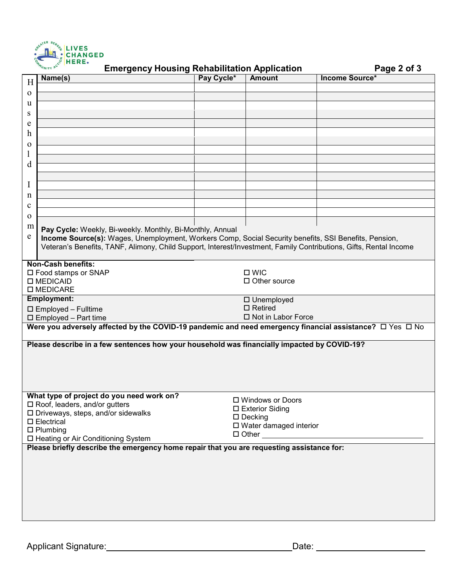

| MUNITY ACT<br><b>Emergency Housing Rehabilitation Application</b><br>Page 2 of 3                                  |                          |                      |                       |  |  |
|-------------------------------------------------------------------------------------------------------------------|--------------------------|----------------------|-----------------------|--|--|
| Name(s)<br>H                                                                                                      | Pay Cycle*               | <b>Amount</b>        | <b>Income Source*</b> |  |  |
|                                                                                                                   |                          |                      |                       |  |  |
| $\mathbf{O}$                                                                                                      |                          |                      |                       |  |  |
| u                                                                                                                 |                          |                      |                       |  |  |
| S                                                                                                                 |                          |                      |                       |  |  |
| e                                                                                                                 |                          |                      |                       |  |  |
| h                                                                                                                 |                          |                      |                       |  |  |
| $\mathbf 0$                                                                                                       |                          |                      |                       |  |  |
| $\mathbf{1}$                                                                                                      |                          |                      |                       |  |  |
| d                                                                                                                 |                          |                      |                       |  |  |
|                                                                                                                   |                          |                      |                       |  |  |
| I                                                                                                                 |                          |                      |                       |  |  |
|                                                                                                                   |                          |                      |                       |  |  |
| n                                                                                                                 |                          |                      |                       |  |  |
| $\mathbf c$                                                                                                       |                          |                      |                       |  |  |
| $\mathbf 0$                                                                                                       |                          |                      |                       |  |  |
| m<br>Pay Cycle: Weekly, Bi-weekly. Monthly, Bi-Monthly, Annual                                                    |                          |                      |                       |  |  |
| e<br>Income Source(s): Wages, Unemployment, Workers Comp, Social Security benefits, SSI Benefits, Pension,        |                          |                      |                       |  |  |
| Veteran's Benefits, TANF, Alimony, Child Support, Interest/Investment, Family Contributions, Gifts, Rental Income |                          |                      |                       |  |  |
|                                                                                                                   |                          |                      |                       |  |  |
| <b>Non-Cash benefits:</b>                                                                                         |                          |                      |                       |  |  |
| □ Food stamps or SNAP                                                                                             | $\square$ WIC            |                      |                       |  |  |
| □ MEDICAID                                                                                                        | $\Box$ Other source      |                      |                       |  |  |
| □ MEDICARE                                                                                                        |                          |                      |                       |  |  |
| <b>Employment:</b>                                                                                                |                          | □ Unemployed         |                       |  |  |
| □ Employed - Fulltime                                                                                             | $\square$ Retired        |                      |                       |  |  |
| $\square$ Employed - Part time                                                                                    |                          | □ Not in Labor Force |                       |  |  |
| Were you adversely affected by the COVID-19 pandemic and need emergency financial assistance? □ Yes □ No          |                          |                      |                       |  |  |
|                                                                                                                   |                          |                      |                       |  |  |
| Please describe in a few sentences how your household was financially impacted by COVID-19?                       |                          |                      |                       |  |  |
|                                                                                                                   |                          |                      |                       |  |  |
|                                                                                                                   |                          |                      |                       |  |  |
|                                                                                                                   |                          |                      |                       |  |  |
|                                                                                                                   |                          |                      |                       |  |  |
|                                                                                                                   |                          |                      |                       |  |  |
| What type of project do you need work on?<br>□ Windows or Doors<br>□ Roof, leaders, and/or gutters                |                          |                      |                       |  |  |
| $\square$ Driveways, steps, and/or sidewalks                                                                      | □ Exterior Siding        |                      |                       |  |  |
| $\square$ Electrical                                                                                              | $\square$ Decking        |                      |                       |  |  |
| $\Box$ Plumbing                                                                                                   | □ Water damaged interior |                      |                       |  |  |
| □ Heating or Air Conditioning System                                                                              |                          | $\Box$ Other $\Box$  |                       |  |  |
| Please briefly describe the emergency home repair that you are requesting assistance for:                         |                          |                      |                       |  |  |
|                                                                                                                   |                          |                      |                       |  |  |
|                                                                                                                   |                          |                      |                       |  |  |
|                                                                                                                   |                          |                      |                       |  |  |
|                                                                                                                   |                          |                      |                       |  |  |
|                                                                                                                   |                          |                      |                       |  |  |
|                                                                                                                   |                          |                      |                       |  |  |
|                                                                                                                   |                          |                      |                       |  |  |
|                                                                                                                   |                          |                      |                       |  |  |